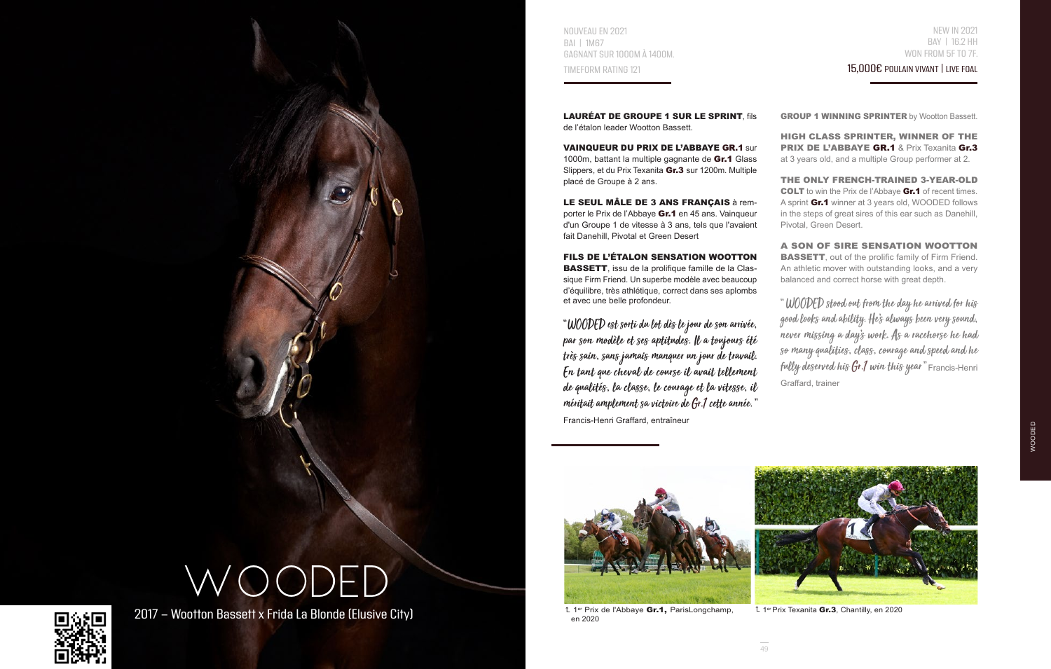NOUVEAU EN 2021 BAI | 1M67 GAGNANT SUR 1000M À 1400M. TIMEFORM RATING 121

15,000€ POULAIN VIVANT | LIVE FOAL

LAURÉAT DE GROUPE 1 SUR LE SPRINT fils de l'étalon leader Wootton Bassett.

VAINQUEUR DU PRIX DE L'ABBAYE GR.1 sur 1000m, battant la multiple gagnante de Gr.1 Glass Slippers, et du Prix Texanita Gr.3 sur 1200m. Multiple placé de Groupe à 2 ans.

LE SEUL MÂLE DE 3 ANS FRANÇAIS à remporter le Prix de l'Abbaye Gr.1 en 45 ans. Vainqueur d'un Groupe 1 de vitesse à 3 ans, tels que l'avaient fait Danehill, Pivotal et Green Desert

FILS DE L'ÉTALON SENSATION WOOTTON BASSETT, issu de la prolifique famille de la Classique Firm Friend. Un superbe modèle avec beaucoup d'équilibre, très athlétique, correct dans ses aplombs et avec une belle profondeur.

"WOODED est sorti du lot dès le jour de son arrivée, par son modèle et ses aptitudes. Il a toujours été très sain, sans jamais manquer un jour de travail. En tant que cheval de course il avait tellement de qualités, la classe, le courage et la vitesse, il méritait amplement sa victoire de Gr.1 cette année. " Francis-Henri Graffard, entraîneur

**GROUP 1 WINNING SPRINTER by Wootton Bassett.** 

HIGH CLASS SPRINTER, WINNER OF THE PRIX DE L'ABBAYE GR.1 & Prix Texanita Gr.3 at 3 years old, and a multiple Group performer at 2.

THE ONLY FRENCH-TRAINED 3-YEAR-OLD COLT to win the Prix de l'Abbaye Gr.1 of recent times. A sprint Gr.1 winner at 3 years old, WOODED follows in the steps of great sires of this ear such as Danehill, Pivotal, Green Desert.

A SON OF SIRE SENSATION WOOTTON **BASSETT**, out of the prolific family of Firm Friend. An athletic mover with outstanding looks, and a very balanced and correct horse with great depth.

" WOODED stood out from the day he arrived for his good looks and ability. He's always been very sound, never missing a day's work. As a racehorse he had so many qualities, class, courage and speed and he fully deserved his  $Gr.1$  win this year" Francis-Henri Graffard, trainer

WOODED



en 2020



<sup>L</sup> 1<sup>er</sup> Prix Texanita **Gr.3**, Chantilly, en 2020

WOODED

 $2017$  - Wootton Bassett x Frida La Blonde (Elusive City)  $1^{\text{eff}}$  Prix de l'Abbaye Gr.1, ParisLongchamp,